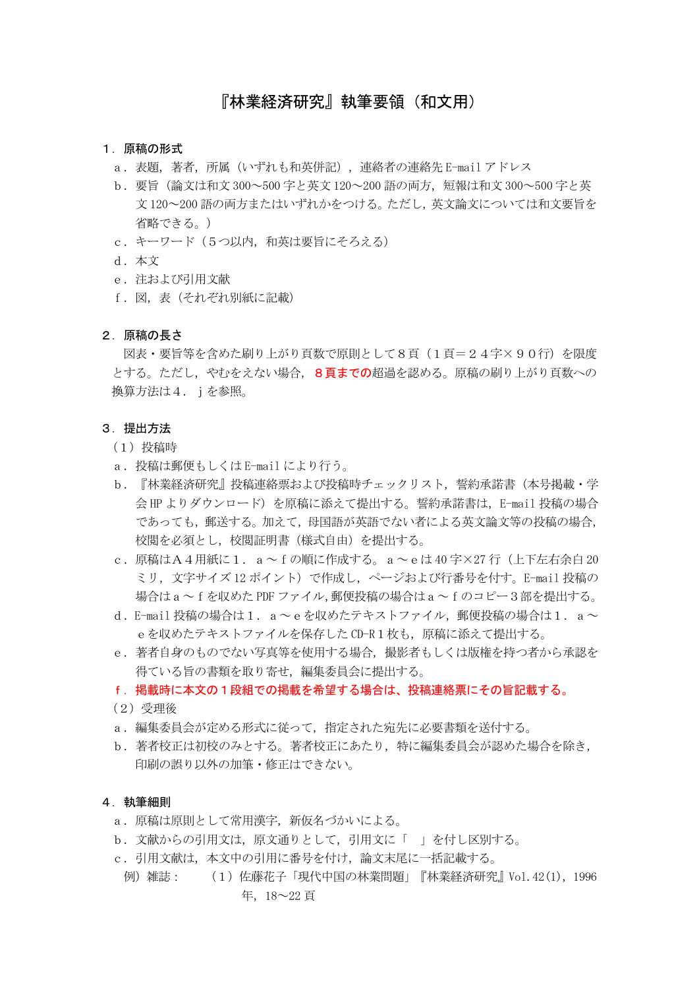# 『林業経済研究』執筆要領(和文用)

### 1.原稿の形式

- a.表題,著者,所属(いずれも和英併記),連絡者の連絡先 E-mail アドレス
- b.要旨(論文は和文 300~500 字と英文 120~200 語の両方,短報は和文 300~500 字と英 文 120~200 語の両方またはいずれかをつける。ただし,英文論文については和文要旨を 省略できる。)
- c.キーワード(5つ以内,和英は要旨にそろえる)
- d.本文
- e.注および引用文献
- f. 図, 表 (それぞれ別紙に記載)

## 2.原稿の長さ

図表·要旨等を含めた刷り上がり頁数で原則として8頁 (1頁=24字×90行)を限度 とする。ただし、やむをえない場合、8頁までの超過を認める。原稿の刷り上がり頁数への 換算方法は4.jを参照。

#### 3. 提出方法

- (1)投稿時
- a. 投稿は郵便もしくは E-mail により行う。
- b.『林業経済研究』投稿連絡票および投稿時チェックリスト,誓約承諾書(本号掲載・学 会 HP よりダウンロード)を原稿に添えて提出する。誓約承諾書は, E-mail 投稿の場合 であっても,郵送する。加えて,母国語が英語でない者による英文論文等の投稿の場合, 校閲を必須とし,校閲証明書(様式自由)を提出する。
- c.原稿はA4用紙に1.a~fの順に作成する。a~eは 40 字×27 行(上下左右余白 20 ミリ, 文字サイズ 12 ポイント)で作成し, ページおよび行番号を付す。E-mail 投稿の 場合はa~fを収めた PDF ファイル,郵便投稿の場合はa~fのコピー3部を提出する。
- d. E-mail 投稿の場合は1.  $a \sim e$ を収めたテキストファイル,郵便投稿の場合は1.  $a \sim$ eを収めたテキストファイルを保存した CD-R1枚も、原稿に添えて提出する。
- e.著者自身のものでない写真等を使用する場合,撮影者もしくは版権を持つ者から承認を 得ている旨の書類を取り寄せ,編集委員会に提出する。
- f.掲載時に本文の1段組での掲載を希望する場合は、投稿連絡票にその旨記載する。
- (2)受理後
- a.編集委員会が定める形式に従って,指定された宛先に必要書類を送付する。
- b. 著者校正は初校のみとする。著者校正にあたり,特に編集委員会が認めた場合を除き, 印刷の誤り以外の加筆・修正はできない。

## 4.執筆細則

- a.原稿は原則として常用漢字,新仮名づかいによる。
- b.文献からの引用文は,原文通りとして,引用文に「 」を付し区別する。
- c.引用文献は,本文中の引用に番号を付け,論文末尾に一括記載する。
- 例)雑誌: (1)佐藤花子「現代中国の林業問題」『林業経済研究』Vol.42(1),1996 年,18~22 頁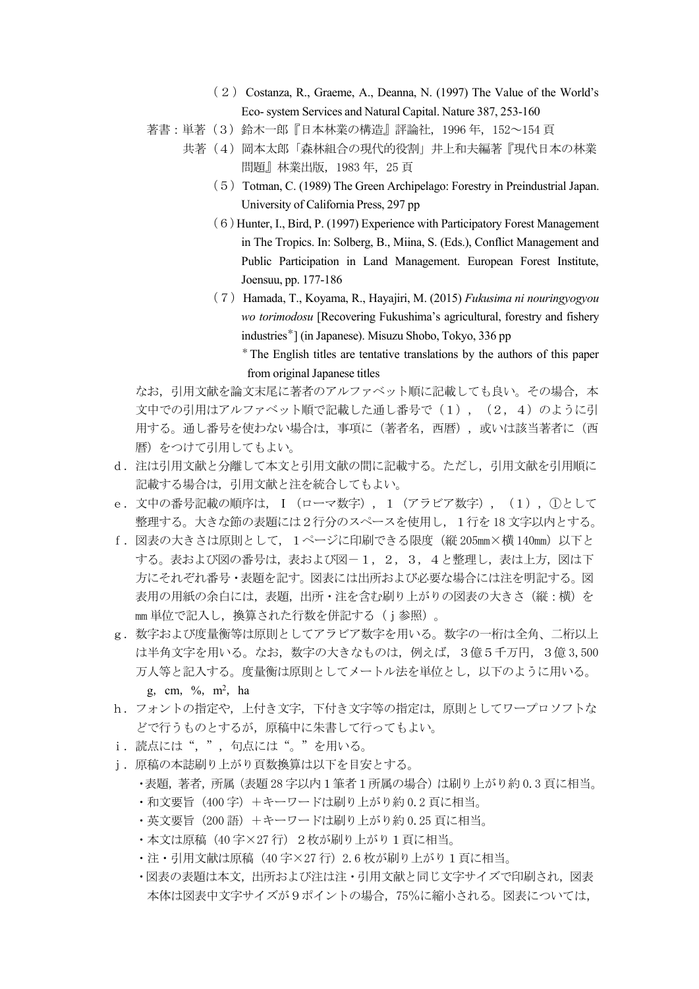- (2) Costanza, R., Graeme, A., Deanna, N. (1997) The Value of the World's Eco- system Services and Natural Capital. Nature 387, 253-160
- 著書:単著(3)鈴木一郎『日本林業の構造』評論社,1996 年,152~154 頁
	- 共著(4)岡本太郎「森林組合の現代的役割」井上和夫編著『現代日本の林業 問題』林業出版,1983 年,25 頁
		- (5) Totman, C. (1989) The Green Archipelago: Forestry in Preindustrial Japan. University of California Press, 297 pp
		- (6)Hunter, I., Bird, P. (1997) Experience with Participatory Forest Management in The Tropics. In: Solberg, B., Miina, S. (Eds.), Conflict Management and Public Participation in Land Management. European Forest Institute, Joensuu, pp. 177-186
		- (7)Hamada, T., Koyama, R., Hayajiri, M. (2015) *Fukusima ni nouringyogyou wo torimodosu* [Recovering Fukushima's agricultural, forestry and fishery industries\*] (in Japanese). Misuzu Shobo, Tokyo, 336 pp
			- \* The English titles are tentative translations by the authors of this paper from original Japanese titles

なお、引用文献を論文末尾に著者のアルファベット順に記載しても良い。その場合、本 文中での引用はアルファベット順で記載した通し番号で(1), (2,4)のように引 用する。通し番号を使わない場合は、事項に(著者名、西暦),或いは該当著者に(西 暦)をつけて引用してもよい。

- d.注は引用文献と分離して本文と引用文献の間に記載する。ただし,引用文献を引用順に 記載する場合は,引用文献と注を統合してもよい。
- e.文中の番号記載の順序は,Ⅰ(ローマ数字),1(アラビア数字),(1),①として 整理する。大きな節の表題には2行分のスペースを使用し,1行を 18 文字以内とする。
- f.図表の大きさは原則として,1ページに印刷できる限度(縦 205mm×横 140mm)以下と する。表および図の番号は、表および図-1,2,3,4と整理し、表は上方、図は下 方にそれぞれ番号・表題を記す。図表には出所および必要な場合には注を明記する。図 表用の用紙の余白には,表題,出所・注を含む刷り上がりの図表の大きさ(縦:横)を mm 単位で記入し,換算された行数を併記する (j参照)。
- g.数字および度量衡等は原則としてアラビア数字を用いる。数字の一桁は全角、二桁以上 は半角文字を用いる。なお,数字の大きなものは,例えば,3億5千万円,3億 3,500 万人等と記入する。度量衡は原則としてメートル法を単位とし,以下のように用いる。 g, cm, %, m<sup>2</sup>, ha
- h. フォントの指定や, 上付き文字, 下付き文字等の指定は, 原則としてワープロソフトな どで行うものとするが,原稿中に朱書して行ってもよい。
- i. 読点には", ", 句点には"。"を用いる。
- j.原稿の本誌刷り上がり頁数換算は以下を目安とする。
	- ・表題,著者,所属(表題 28 字以内1筆者1所属の場合)は刷り上がり約 0.3 頁に相当。
	- ・和文要旨(400 字)+キーワードは刷り上がり約 0.2 頁に相当。
	- ・英文要旨(200 語)+キーワードは刷り上がり約 0.25 頁に相当。
	- ·本文は原稿(40字×27行)2枚が刷り上がり1頁に相当。
	- ·注·引用文献は原稿(40字×27行)2.6枚が刷り上がり1頁に相当。
	- ・図表の表題は本文,出所および注は注・引用文献と同じ文字サイズで印刷され,図表 本体は図表中文字サイズが9ポイントの場合,75%に縮小される。図表については,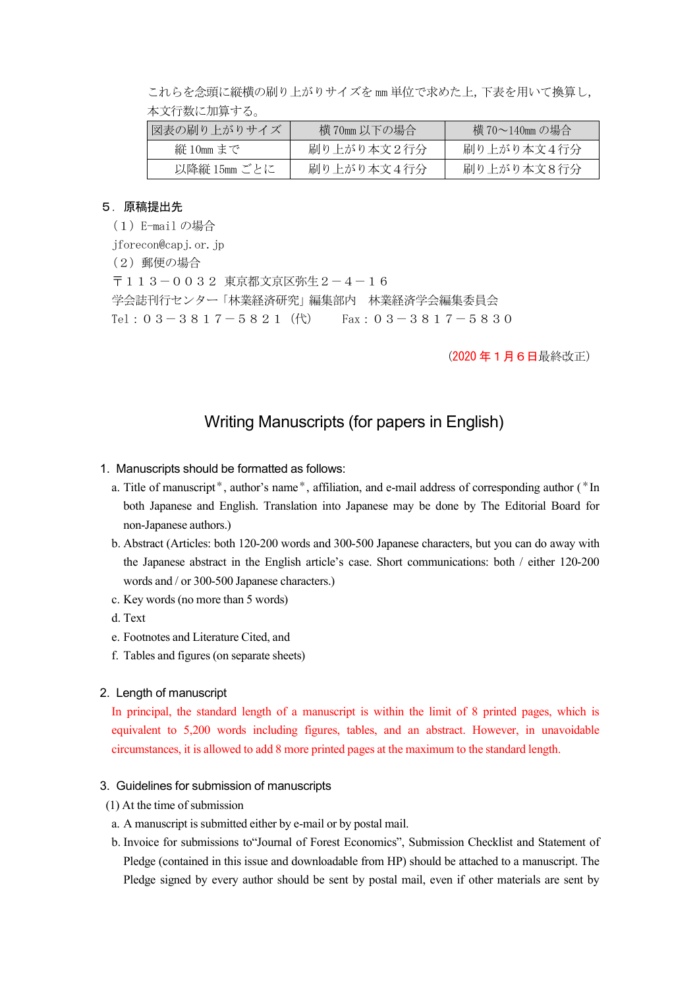これらを念頭に縦横の刷り上がりサイズを mm 単位で求めた上,下表を用いて換算し, 本文行数に加算する。

| 図表の刷り上がりサイズ  | 横 70mm 以下の場合 | 横 70~140㎜の場合 |
|--------------|--------------|--------------|
| 縦 10mm まで    | 刷り上がり本文2行分   | 刷り上がり本文4行分   |
| 以降縦 15mm ごとに | 刷り上がり本文4行分   | 刷り上がり本文8行分   |

## 5.原稿提出先

(1)E-mail の場合

iforecon@capj.or.jp

(2)郵便の場合

〒113-0032 東京都文京区弥生2-4-16 学会誌刊行センター「林業経済研究」編集部内 林業経済学会編集委員会 Tel:  $03-3817-5821$  (代) Fax:  $03-3817-5830$ 

(2020 年1月6日最終改正)

# Writing Manuscripts (for papers in English)

## 1. Manuscripts should be formatted as follows:

- a. Title of manuscript\*, author's name\*, affiliation, and e-mail address of corresponding author (\*In both Japanese and English. Translation into Japanese may be done by The Editorial Board for non-Japanese authors.)
- b. Abstract (Articles: both 120-200 words and 300-500 Japanese characters, but you can do away with the Japanese abstract in the English article's case. Short communications: both / either 120-200 words and / or 300-500 Japanese characters.)
- c. Key words (no more than 5 words)
- d. Text
- e. Footnotes and Literature Cited, and
- f. Tables and figures (on separate sheets)

### 2. Length of manuscript

In principal, the standard length of a manuscript is within the limit of 8 printed pages, which is equivalent to 5,200 words including figures, tables, and an abstract. However, in unavoidable circumstances, it is allowed to add 8 more printed pages at the maximum to the standard length.

### 3. Guidelines for submission of manuscripts

- (1) At the time of submission
	- a. A manuscript is submitted either by e-mail or by postal mail.
- b. Invoice for submissions to"Journal of Forest Economics", Submission Checklist and Statementof Pledge (contained in this issue and downloadable from HP) should be attached to a manuscript. The Pledge signed by every author should be sent by postal mail, even if other materials are sent by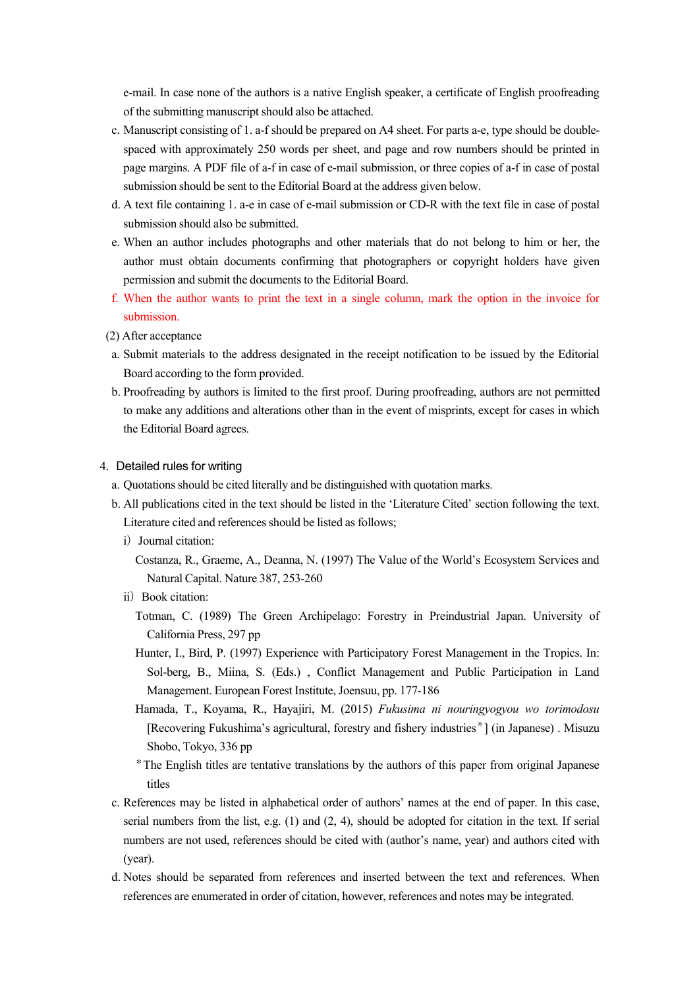e-mail. In case none of the authors is a native English speaker, a certificate of English proofreading of the submitting manuscript should also be attached.<br>c. Manuscript consisting of 1. a-f should be prepared on A4 sheet. For parts a-e, type should be double-

- spaced with approximately 250 words per sheet, and page and row numbers should be printed in page margins. A PDF file of a-f in case of e-mail submission, or three copies of a-f in case of postal submission should be sent to the Editorial Board at the address given below.
- d. A text file containing 1. a-e in case of e-mail submission or CD-R with the text file in case of postal submission should also be submitted.
- e. When an author includes photographs and other materials that do not belong to him or her, the author must obtain documents confirming that photographers or copyright holders have given permission and submit the documents to the Editorial Board.
- f. When the author wants to print the text in a single column, mark the option in the invoice for submission.
- (2) After acceptance
- a. Submit materials to the address designated in the receipt notification to be issued by the Editorial Board according to the form provided.
- b. Proofreading by authors is limited to the first proof. During proofreading, authors are not permitted to make any additions and alterations other than in the event of misprints, except for cases in which the Editorial Board agrees.
- 4. Detailed rules for writing
	- a. Quotations should be cited literally and be distinguished with quotation marks.
	- b. All publications cited in the text should be listed in the 'Literature Cited' section following the text. Literature cited and references should be listed as follows;
		- i) Journal citation:

Costanza, R., Graeme, A., Deanna, N. (1997) The Value of the World's Ecosystem Services and Natural Capital. Nature 387, 253-260

- ii) Book citation:
	- Totman, C. (1989) The Green Archipelago: Forestry in Preindustrial Japan. University of California Press, 297 pp
	- Hunter, I., Bird, P. (1997) Experience with Participatory Forest Management in the Tropics. In: Sol-berg, B., Miina, S. (Eds.) , Conflict Management and Public Participation in Land Management. European Forest Institute, Joensuu, pp. 177-186
	- Hamada, T., Koyama, R., Hayajiri, M. (2015) *Fukusima ni nouringyogyou wo torimodosu* [Recovering Fukushima's agricultural, forestry and fishery industries\*] (in Japanese) . Misuzu Shobo, Tokyo, 336 pp
	- \*The English titles are tentative translations by the authors of this paper from original Japanese titles
- c. References may be listed in alphabetical order of authors' names at the end of paper. In this case, serial numbers from the list, e.g. (1) and (2, 4), should be adopted for citation in the text. If serial numbers are not used, references should be cited with (author's name, year) and authors cited with (year).
- d. Notes should be separated from references and inserted between the text and references. When references are enumerated in order of citation, however, references and notes may be integrated.